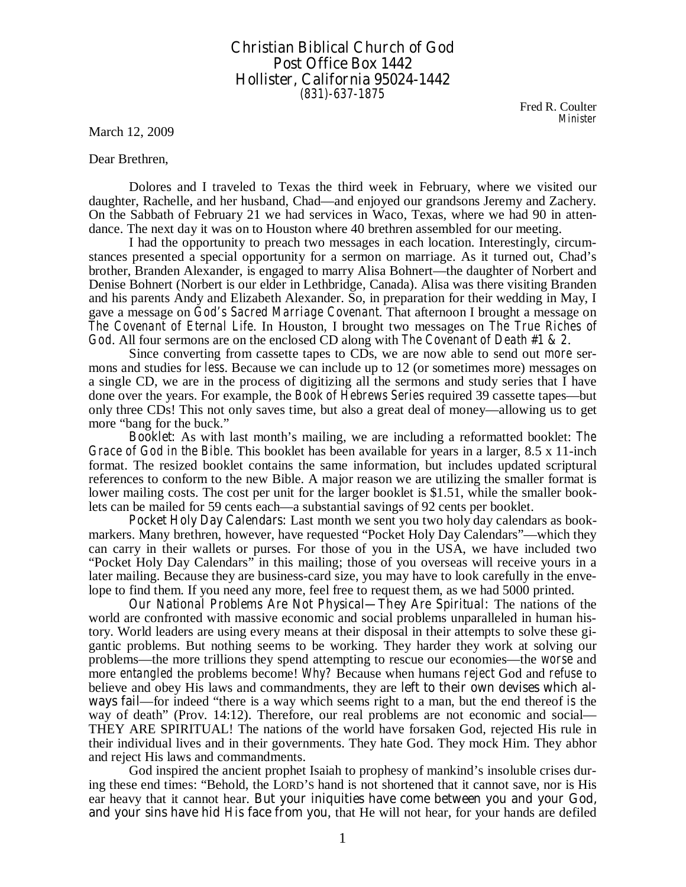## **Christian Biblical Church of God Post Office Box 1442 Hollister, California 95024-1442**  *(831)-637-1875*

Fred R. Coulter *Minister* 

March 12, 2009

Dear Brethren,

 Dolores and I traveled to Texas the third week in February, where we visited our daughter, Rachelle, and her husband, Chad—and enjoyed our grandsons Jeremy and Zachery. On the Sabbath of February 21 we had services in Waco, Texas, where we had 90 in attendance. The next day it was on to Houston where 40 brethren assembled for our meeting.

I had the opportunity to preach two messages in each location. Interestingly, circumstances presented a special opportunity for a sermon on marriage. As it turned out, Chad's brother, Branden Alexander, is engaged to marry Alisa Bohnert—the daughter of Norbert and Denise Bohnert (Norbert is our elder in Lethbridge, Canada). Alisa was there visiting Branden and his parents Andy and Elizabeth Alexander. So, in preparation for their wedding in May, I gave a message on *God's Sacred Marriage Covenant*. That afternoon I brought a message on *The Covenant of Eternal Life*. In Houston, I brought two messages on *The True Riches of God*. All four sermons are on the enclosed CD along with *The Covenant of Death #1 & 2*.

 Since converting from cassette tapes to CDs, we are now able to send out *more* sermons and studies for *less*. Because we can include up to 12 (or sometimes more) messages on a single CD, we are in the process of digitizing all the sermons and study series that I have done over the years. For example, the *Book of Hebrews Series* required 39 cassette tapes—but only three CDs! This not only saves time, but also a great deal of money—allowing us to get more "bang for the buck."

*Booklet***:** As with last month's mailing, we are including a reformatted booklet: *The Grace of God in the Bible*. This booklet has been available for years in a larger, 8.5 x 11-inch format. The resized booklet contains the same information, but includes updated scriptural references to conform to the new Bible. A major reason we are utilizing the smaller format is lower mailing costs. The cost per unit for the larger booklet is \$1.51, while the smaller booklets can be mailed for 59 cents each—a substantial savings of 92 cents per booklet.

*Pocket Holy Day Calendars***:** Last month we sent you two holy day calendars as bookmarkers. Many brethren, however, have requested "Pocket Holy Day Calendars"—which they can carry in their wallets or purses. For those of you in the USA, we have included two "Pocket Holy Day Calendars" in this mailing; those of you overseas will receive yours in a later mailing. Because they are business-card size, you may have to look carefully in the envelope to find them. If you need any more, feel free to request them, as we had 5000 printed.

*Our National Problems Are Not Physical—They Are Spiritual***:** The nations of the world are confronted with massive economic and social problems unparalleled in human history. World leaders are using every means at their disposal in their attempts to solve these gigantic problems. But nothing seems to be working. They harder they work at solving our problems—the more trillions they spend attempting to rescue our economies—the *worse* and more *entangled* the problems become! *Why?* Because when humans *reject* God and *refuse* to believe and obey His laws and commandments, they are **left to their own devises which always fail**—for indeed "there is a way which seems right to a man, but the end thereof *is* the way of death" (Prov. 14:12). Therefore, our real problems are not economic and social— THEY ARE SPIRITUAL! The nations of the world have forsaken God, rejected His rule in their individual lives and in their governments. They hate God. They mock Him. They abhor and reject His laws and commandments.

God inspired the ancient prophet Isaiah to prophesy of mankind's insoluble crises during these end times: "Behold, the LORD'S hand is not shortened that it cannot save, nor is His ear heavy that it cannot hear. **But your iniquities have come between you and your God, and your sins have hid** *His* **face from you**, that He will not hear, for your hands are defiled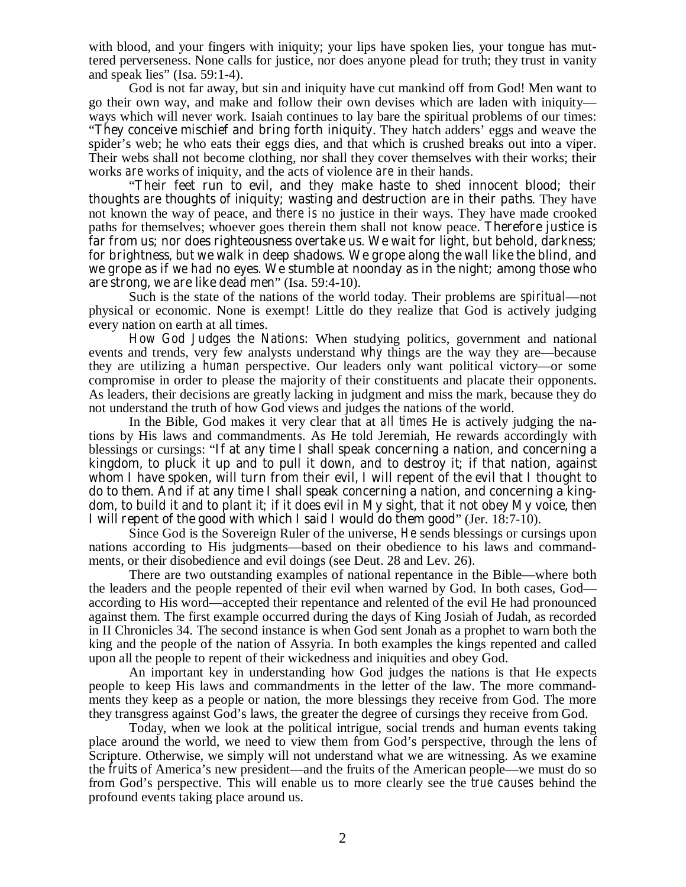with blood, and your fingers with iniquity; your lips have spoken lies, your tongue has muttered perverseness. None calls for justice, nor does anyone plead for truth; they trust in vanity and speak lies" (Isa. 59:1-4).

God is not far away, but sin and iniquity have cut mankind off from God! Men want to go their own way, and make and follow their own devises which are laden with iniquity ways which will never work. Isaiah continues to lay bare the spiritual problems of our times:

"**They conceive mischief and bring forth iniquity**. They hatch adders' eggs and weave the spider's web; he who eats their eggs dies, and that which is crushed breaks out into a viper. Their webs shall not become clothing, nor shall they cover themselves with their works; their works *are* works of iniquity, and the acts of violence *are* in their hands.

"**Their feet run to evil, and they make haste to shed innocent blood; their thoughts** *are* **thoughts of iniquity; wasting and destruction** *are* **in their paths**. They have not known the way of peace, and *there is* no justice in their ways. They have made crooked paths for themselves; whoever goes therein them shall not know peace. **Therefore justice is far from us; nor does righteousness overtake us. We wait for light, but behold, darkness; for brightness,** *but* **we walk in deep shadows. We grope along the wall like the blind, and we grope as if** *we had* **no eyes. We stumble at noonday as in the night; among those who are strong, we are like dead men**" (Isa. 59:4-10).

Such is the state of the nations of the world today. Their problems are *spiritual*—not physical or economic. None is exempt! Little do they realize that God is actively judging every nation on earth at all times.

*How God Judges the Nations***:** When studying politics, government and national events and trends, very few analysts understand *why* things are the way they are—because they are utilizing a *human* perspective. Our leaders only want political victory—or some compromise in order to please the majority of their constituents and placate their opponents. As leaders, their decisions are greatly lacking in judgment and miss the mark, because they do not understand the truth of how God views and judges the nations of the world.

In the Bible, God makes it very clear that at *all times* He is actively judging the nations by His laws and commandments. As He told Jeremiah, He rewards accordingly with blessings or cursings: "**If at any time I shall speak concerning a nation, and concerning a kingdom, to pluck it up and to pull it down, and to destroy** *it***; if that nation, against whom I have spoken, will turn from their evil, I will repent of the evil that I thought to do to them**. **And if at any time I shall speak concerning a nation, and concerning a kingdom, to build it and to plant** *it***; if it does evil in My sight, that it not obey My voice, then I will repent of the good with which I said I would do them good**" (Jer. 18:7-10).

Since God is the Sovereign Ruler of the universe, *He* sends blessings or cursings upon nations according to His judgments—based on their obedience to his laws and commandments, or their disobedience and evil doings (see Deut. 28 and Lev. 26).

There are two outstanding examples of national repentance in the Bible—where both the leaders and the people repented of their evil when warned by God. In both cases, God according to His word—accepted their repentance and relented of the evil He had pronounced against them. The first example occurred during the days of King Josiah of Judah, as recorded in II Chronicles 34. The second instance is when God sent Jonah as a prophet to warn both the king and the people of the nation of Assyria. In both examples the kings repented and called upon all the people to repent of their wickedness and iniquities and obey God.

An important key in understanding how God judges the nations is that He expects people to keep His laws and commandments in the letter of the law. The more commandments they keep as a people or nation, the more blessings they receive from God. The more they transgress against God's laws, the greater the degree of cursings they receive from God.

Today, when we look at the political intrigue, social trends and human events taking place around the world, we need to view them from God's perspective, through the lens of Scripture. Otherwise, we simply will not understand what we are witnessing. As we examine the *fruits* of America's new president—and the fruits of the American people—we must do so from God's perspective. This will enable us to more clearly see the *true causes* behind the profound events taking place around us.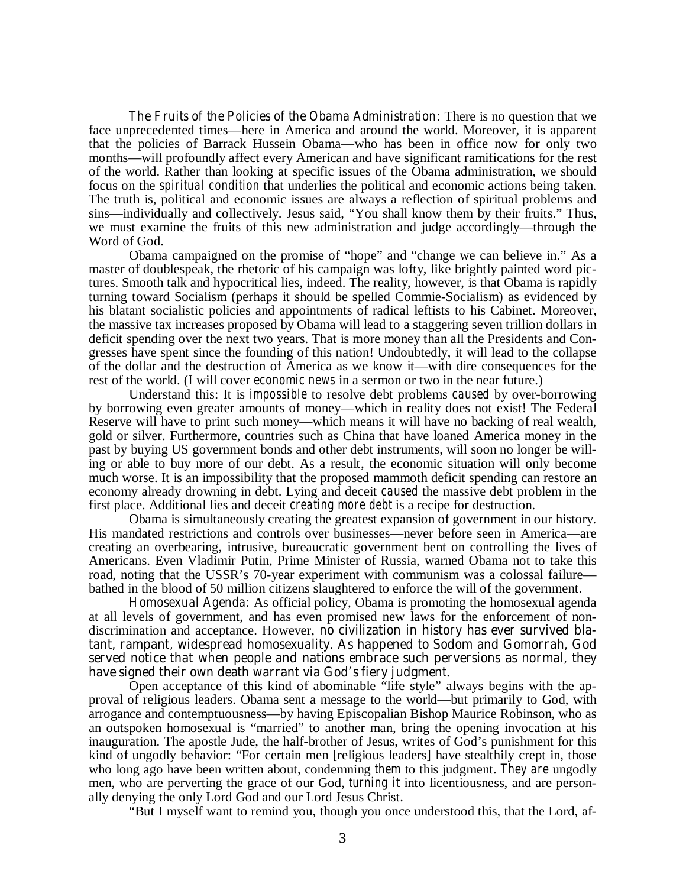*The Fruits of the Policies of the Obama Administration***:** There is no question that we face unprecedented times—here in America and around the world. Moreover, it is apparent that the policies of Barrack Hussein Obama—who has been in office now for only two months—will profoundly affect every American and have significant ramifications for the rest of the world. Rather than looking at specific issues of the Obama administration, we should focus on the *spiritual condition* that underlies the political and economic actions being taken. The truth is, political and economic issues are always a reflection of spiritual problems and sins—individually and collectively. Jesus said, "You shall know them by their fruits." Thus, we must examine the fruits of this new administration and judge accordingly—through the Word of God.

Obama campaigned on the promise of "hope" and "change we can believe in." As a master of doublespeak, the rhetoric of his campaign was lofty, like brightly painted word pictures. Smooth talk and hypocritical lies, indeed. The reality, however, is that Obama is rapidly turning toward Socialism (perhaps it should be spelled Commie-Socialism) as evidenced by his blatant socialistic policies and appointments of radical leftists to his Cabinet. Moreover, the massive tax increases proposed by Obama will lead to a staggering seven trillion dollars in deficit spending over the next two years. That is more money than all the Presidents and Congresses have spent since the founding of this nation! Undoubtedly, it will lead to the collapse of the dollar and the destruction of America as we know it—with dire consequences for the rest of the world. (I will cover *economic news* in a sermon or two in the near future.)

Understand this: It is *impossible* to resolve debt problems *caused* by over-borrowing by borrowing even greater amounts of money—which in reality does not exist! The Federal Reserve will have to print such money—which means it will have no backing of real wealth, gold or silver. Furthermore, countries such as China that have loaned America money in the past by buying US government bonds and other debt instruments, will soon no longer be willing or able to buy more of our debt. As a result, the economic situation will only become much worse. It is an impossibility that the proposed mammoth deficit spending can restore an economy already drowning in debt. Lying and deceit *caused* the massive debt problem in the first place. Additional lies and deceit *creating more debt* is a recipe for destruction.

Obama is simultaneously creating the greatest expansion of government in our history. His mandated restrictions and controls over businesses—never before seen in America—are creating an overbearing, intrusive, bureaucratic government bent on controlling the lives of Americans. Even Vladimir Putin, Prime Minister of Russia, warned Obama not to take this road, noting that the USSR's 70-year experiment with communism was a colossal failure bathed in the blood of 50 million citizens slaughtered to enforce the will of the government.

*Homosexual Agenda***:** As official policy, Obama is promoting the homosexual agenda at all levels of government, and has even promised new laws for the enforcement of nondiscrimination and acceptance. However, **no civilization in history has ever survived blatant, rampant, widespread homosexuality. As happened to Sodom and Gomorrah, God served notice that when people and nations embrace such perversions as normal, they have signed their own death warrant via God's fiery judgment**.

Open acceptance of this kind of abominable "life style" always begins with the approval of religious leaders. Obama sent a message to the world—but primarily to God, with arrogance and contemptuousness—by having Episcopalian Bishop Maurice Robinson, who as an outspoken homosexual is "married" to another man, bring the opening invocation at his inauguration. The apostle Jude, the half-brother of Jesus, writes of God's punishment for this kind of ungodly behavior: "For certain men [religious leaders] have stealthily crept in, those who long ago have been written about, condemning *them* to this judgment. *They are* ungodly men, who are perverting the grace of our God, *turning it* into licentiousness, and are personally denying the only Lord God and our Lord Jesus Christ.

"But I myself want to remind you, though you once understood this, that the Lord, af-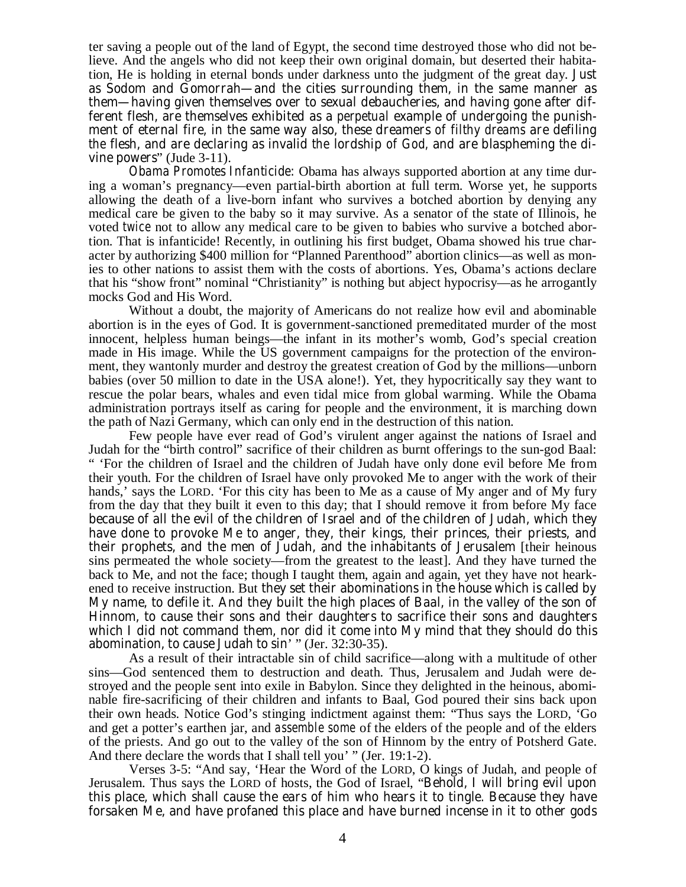ter saving a people out of *the* land of Egypt, the second time destroyed those who did not believe. And the angels who did not keep their own original domain, but deserted their habitation, He is holding in eternal bonds under darkness unto the judgment of *the* great day. **Just as Sodom and Gomorrah—and the cities surrounding them, in the same manner as them—having given themselves over to sexual debaucheries, and having gone after different flesh, are themselves exhibited as a** *perpetual* **example of undergoing** *the* **punishment of eternal fire, in the same way also, these dreamers** *of filthy dreams* **are defiling**  *the* **flesh, and are declaring as invalid** *the* **lordship** *of God,* **and are blaspheming** *the* **divine powers**" (Jude 3-11).

*Obama Promotes Infanticide***:** Obama has always supported abortion at any time during a woman's pregnancy—even partial-birth abortion at full term. Worse yet, he supports allowing the death of a live-born infant who survives a botched abortion by denying any medical care be given to the baby so it may survive. As a senator of the state of Illinois, he voted *twice* not to allow any medical care to be given to babies who survive a botched abortion. That is infanticide! Recently, in outlining his first budget, Obama showed his true character by authorizing \$400 million for "Planned Parenthood" abortion clinics—as well as monies to other nations to assist them with the costs of abortions. Yes, Obama's actions declare that his "show front" nominal "Christianity" is nothing but abject hypocrisy—as he arrogantly mocks God and His Word.

Without a doubt, the majority of Americans do not realize how evil and abominable abortion is in the eyes of God. It is government-sanctioned premeditated murder of the most innocent, helpless human beings—the infant in its mother's womb, God's special creation made in His image. While the US government campaigns for the protection of the environment, they wantonly murder and destroy the greatest creation of God by the millions—unborn babies (over 50 million to date in the USA alone!). Yet, they hypocritically say they want to rescue the polar bears, whales and even tidal mice from global warming. While the Obama administration portrays itself as caring for people and the environment, it is marching down the path of Nazi Germany, which can only end in the destruction of this nation.

Few people have ever read of God's virulent anger against the nations of Israel and Judah for the "birth control" sacrifice of their children as burnt offerings to the sun-god Baal: " 'For the children of Israel and the children of Judah have only done evil before Me from their youth. For the children of Israel have only provoked Me to anger with the work of their hands,' says the LORD. 'For this city has been to Me as a cause of My anger and of My fury from the day that they built it even to this day; that I should remove it from before My face **because of all the evil of the children of Israel and of the children of Judah, which they have done to provoke Me to anger, they, their kings, their princes, their priests, and their prophets, and the men of Judah, and the inhabitants of Jerusalem** [their heinous sins permeated the whole society—from the greatest to the least]. And they have turned the back to Me, and not the face; though I taught them, again and again, yet they have not hearkened to receive instruction. But **they set their abominations in the house which is called by My name, to defile it. And they built the high places of Baal, in the valley of the son of Hinnom, to cause their sons and their daughters to sacrifice their sons and daughters which I did not command them, nor did it come into My mind that they should do this abomination, to cause Judah to sin**' " (Jer. 32:30-35).

As a result of their intractable sin of child sacrifice—along with a multitude of other sins—God sentenced them to destruction and death. Thus, Jerusalem and Judah were destroyed and the people sent into exile in Babylon. Since they delighted in the heinous, abominable fire-sacrificing of their children and infants to Baal, God poured their sins back upon their own heads. Notice God's stinging indictment against them: "Thus says the LORD, 'Go and get a potter's earthen jar, and *assemble some* of the elders of the people and of the elders of the priests. And go out to the valley of the son of Hinnom by the entry of Potsherd Gate. And there declare the words that I shall tell you' " (Jer. 19:1-2).

Verses 3-5: "And say, 'Hear the Word of the LORD, O kings of Judah, and people of Jerusalem. Thus says the LORD of hosts, the God of Israel, "**Behold, I will bring evil upon this place, which shall cause the ears of him who hears it to tingle. Because they have forsaken Me, and have profaned this place and have burned incense in it to other gods**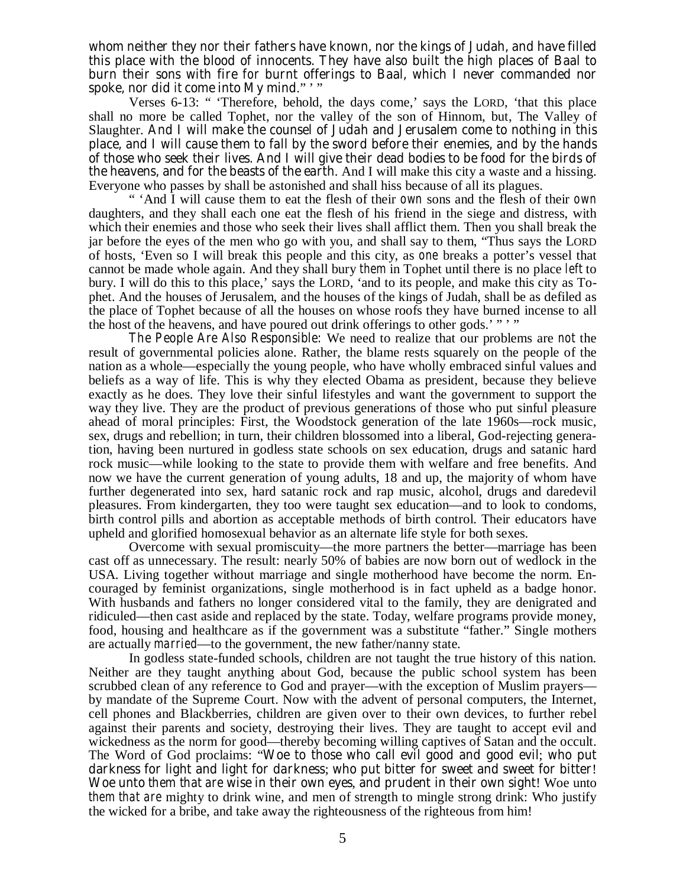**whom neither they nor their fathers have known, nor the kings of Judah, and have filled this place with the blood of innocents. They have also built the high places of Baal to burn their sons with fire** *for* **burnt offerings to Baal, which I never commanded nor spoke, nor did** *it* **come into My mind**." ' "

Verses 6-13: " 'Therefore, behold, the days come,' says the LORD, 'that this place shall no more be called Tophet, nor the valley of the son of Hinnom, but, The Valley of Slaughter. **And I will make the counsel of Judah and Jerusalem come to nothing in this place, and I will cause them to fall by the sword before their enemies, and by the hands of those who seek their lives. And I will give their dead bodies to be food for the birds of the heavens, and for the beasts of the earth**. And I will make this city a waste and a hissing. Everyone who passes by shall be astonished and shall hiss because of all its plagues.

" 'And I will cause them to eat the flesh of their *own* sons and the flesh of their *own*  daughters, and they shall each one eat the flesh of his friend in the siege and distress, with which their enemies and those who seek their lives shall afflict them. Then you shall break the jar before the eyes of the men who go with you, and shall say to them, "Thus says the LORD of hosts, 'Even so I will break this people and this city, as *one* breaks a potter's vessel that cannot be made whole again. And they shall bury *them* in Tophet until there is no place *left* to bury. I will do this to this place,' says the LORD, 'and to its people, and make this city as Tophet. And the houses of Jerusalem, and the houses of the kings of Judah, shall be as defiled as the place of Tophet because of all the houses on whose roofs they have burned incense to all the host of the heavens, and have poured out drink offerings to other gods.'""

*The People Are Also Responsible***:** We need to realize that our problems are *not* the result of governmental policies alone. Rather, the blame rests squarely on the people of the nation as a whole—especially the young people, who have wholly embraced sinful values and beliefs as a way of life. This is why they elected Obama as president, because they believe exactly as he does. They love their sinful lifestyles and want the government to support the way they live. They are the product of previous generations of those who put sinful pleasure ahead of moral principles: First, the Woodstock generation of the late 1960s—rock music, sex, drugs and rebellion; in turn, their children blossomed into a liberal, God-rejecting generation, having been nurtured in godless state schools on sex education, drugs and satanic hard rock music—while looking to the state to provide them with welfare and free benefits. And now we have the current generation of young adults, 18 and up, the majority of whom have further degenerated into sex, hard satanic rock and rap music, alcohol, drugs and daredevil pleasures. From kindergarten, they too were taught sex education—and to look to condoms, birth control pills and abortion as acceptable methods of birth control. Their educators have upheld and glorified homosexual behavior as an alternate life style for both sexes.

Overcome with sexual promiscuity—the more partners the better—marriage has been cast off as unnecessary. The result: nearly 50% of babies are now born out of wedlock in the USA. Living together without marriage and single motherhood have become the norm. Encouraged by feminist organizations, single motherhood is in fact upheld as a badge honor. With husbands and fathers no longer considered vital to the family, they are denigrated and ridiculed—then cast aside and replaced by the state. Today, welfare programs provide money, food, housing and healthcare as if the government was a substitute "father." Single mothers are actually *married*—to the government, the new father/nanny state.

In godless state-funded schools, children are not taught the true history of this nation. Neither are they taught anything about God, because the public school system has been scrubbed clean of any reference to God and prayer—with the exception of Muslim prayers by mandate of the Supreme Court. Now with the advent of personal computers, the Internet, cell phones and Blackberries, children are given over to their own devices, to further rebel against their parents and society, destroying their lives. They are taught to accept evil and wickedness as the norm for good—thereby becoming willing captives of Satan and the occult. The Word of God proclaims: "**Woe to those who call evil good and good evil**; **who put darkness for light and light for darkness**; **who put bitter for sweet and sweet for bitter**! **Woe unto** *them that are* **wise in their own eyes**, **and prudent in their own sight**! Woe unto *them that are* mighty to drink wine, and men of strength to mingle strong drink: Who justify the wicked for a bribe, and take away the righteousness of the righteous from him!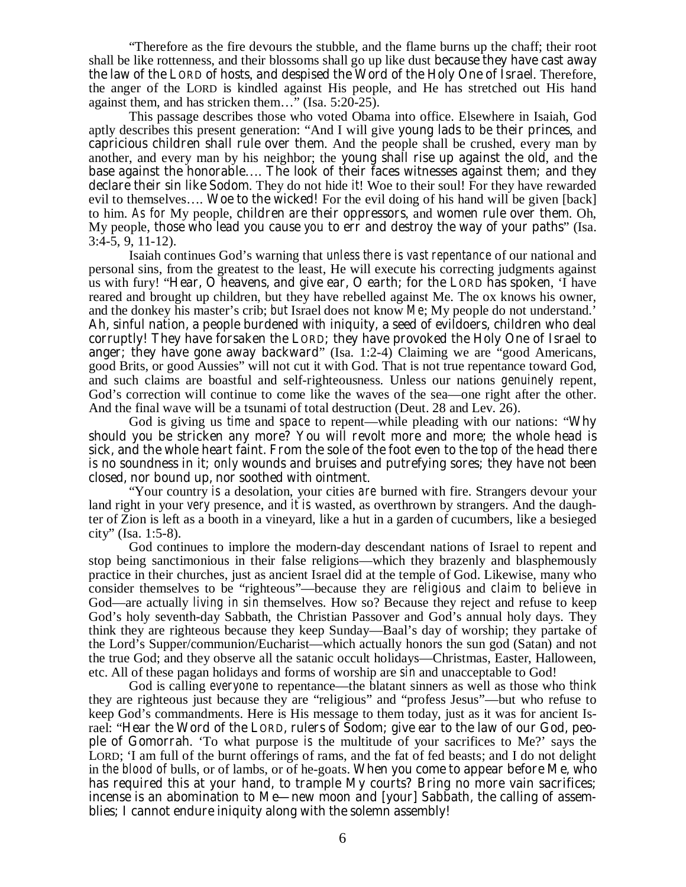"Therefore as the fire devours the stubble, and the flame burns up the chaff; their root shall be like rottenness, and their blossoms shall go up like dust **because they have cast away the law of the LORD of hosts**, **and despised the Word of the Holy One of Israel**. Therefore, the anger of the LORD is kindled against His people, and He has stretched out His hand against them, and has stricken them…" (Isa. 5:20-25).

This passage describes those who voted Obama into office. Elsewhere in Isaiah, God aptly describes this present generation: "And I will give **young lads** *to be* **their princes**, and **capricious children shall rule over them**. And the people shall be crushed, every man by another, and every man by his neighbor; the **young shall rise up against the old**, and **the base against the honorable**…. **The look of their faces witnesses against them; and they declare their sin like Sodom**. They do not hide *it*! Woe to their soul! For they have rewarded evil to themselves…. **Woe to the wicked!** For the evil doing of his hand will be given [back] to him. *As for* My people, **children** *are* **their oppressors**, and **women rule over them**. Oh, My people, **those who lead you cause** *you* **to err and destroy the way of your paths**" (Isa.  $3:4-5, 9, 11-12$ .

Isaiah continues God's warning that *unless there is vast repentance* of our national and personal sins, from the greatest to the least, He will execute his correcting judgments against us with fury! "**Hear, O heavens, and give ear, O earth; for the LORD has spoken**, 'I have reared and brought up children, but they have rebelled against Me. The ox knows his owner, and the donkey his master's crib; *but* Israel does not know *Me*; My people do not understand.' **Ah, sinful nation, a people burdened** *with* **iniquity, a seed of evildoers, children who deal corruptly! They have forsaken the LORD; they have provoked the Holy One of Israel to anger; they have gone away backward**" (Isa. 1:2-4) Claiming we are "good Americans, good Brits, or good Aussies" will not cut it with God. That is not true repentance toward God, and such claims are boastful and self-righteousness. Unless our nations *genuinely* repent, God's correction will continue to come like the waves of the sea—one right after the other. And the final wave will be a tsunami of total destruction (Deut. 28 and Lev. 26).

God is giving us *time* and *space* to repent—while pleading with our nations: "**Why should you be stricken any more? You will revolt more and more; the whole head is sick, and the whole heart faint. From the sole of the foot even to the** *top of the* **head** *there is* **no soundness in it;** *only* **wounds and bruises and putrefying sores; they have not been closed, nor bound up, nor soothed with ointment**.

"Your country *is* a desolation, your cities *are* burned with fire. Strangers devour your land right in your *very* presence, and *it is* wasted, as overthrown by strangers. And the daughter of Zion is left as a booth in a vineyard, like a hut in a garden of cucumbers, like a besieged city" (Isa. 1:5-8).

God continues to implore the modern-day descendant nations of Israel to repent and stop being sanctimonious in their false religions—which they brazenly and blasphemously practice in their churches, just as ancient Israel did at the temple of God. Likewise, many who consider themselves to be "righteous"—because they are *religious* and *claim to believe* in God—are actually *living in sin* themselves. How so? Because they reject and refuse to keep God's holy seventh-day Sabbath, the Christian Passover and God's annual holy days. They think they are righteous because they keep Sunday—Baal's day of worship; they partake of the Lord's Supper/communion/Eucharist—which actually honors the sun god (Satan) and not the true God; and they observe all the satanic occult holidays—Christmas, Easter, Halloween, etc. All of these pagan holidays and forms of worship are *sin* and unacceptable to God!

God is calling *everyone* to repentance—the blatant sinners as well as those who *think* they are righteous just because they are "religious" and "profess Jesus"—but who refuse to keep God's commandments. Here is His message to them today, just as it was for ancient Israel: "**Hear the Word of the LORD, rulers of Sodom; give ear to the law of our God, people of Gomorrah**. 'To what purpose *is* the multitude of your sacrifices to Me?' says the LORD; 'I am full of the burnt offerings of rams, and the fat of fed beasts; and I do not delight in *the blood of* bulls, or of lambs, or of he-goats. **When you come to appear before Me, who has required this at your hand, to trample My courts? Bring no more vain sacrifices; incense is an abomination to Me—new moon and [your] Sabbath, the calling of assemblies; I cannot endure iniquity along with the solemn assembly!**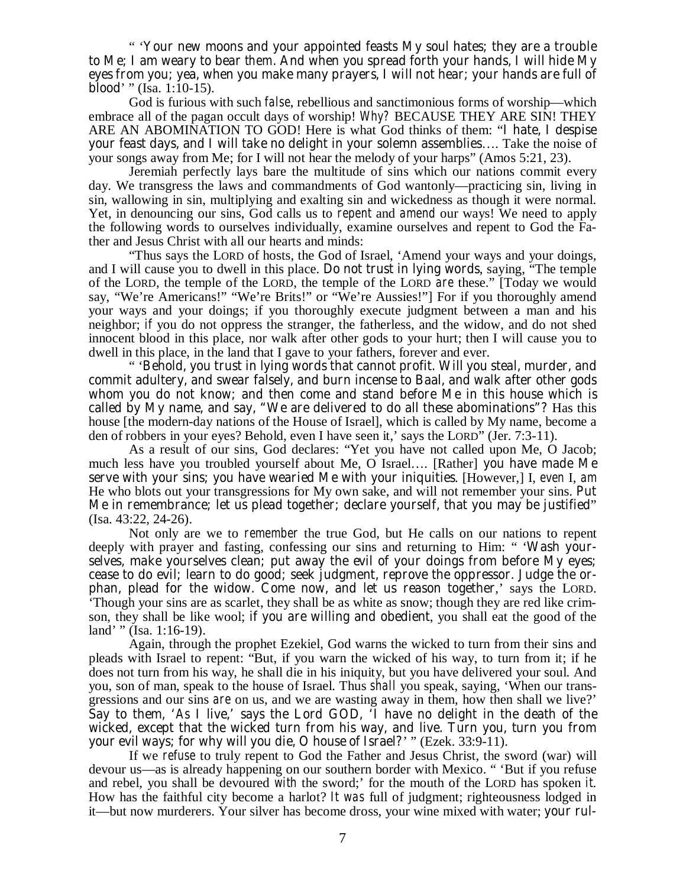" '**Your new moons and your appointed feasts My soul hates; they are a trouble to Me; I am weary to bear** *them***. And when you spread forth your hands, I will hide My eyes from you; yea, when you make many prayers, I will not hear; your hands are full of blood**' " (Isa. 1:10-15).

God is furious with such *false*, rebellious and sanctimonious forms of worship—which embrace all of the pagan occult days of worship! *Why?* BECAUSE THEY ARE SIN! THEY ARE AN ABOMINATION TO GOD! Here is what God thinks of them: "**I hate, I despise your feast days, and I will take no delight in your solemn assemblies**…. Take the noise of your songs away from Me; for I will not hear the melody of your harps" (Amos 5:21, 23).

Jeremiah perfectly lays bare the multitude of sins which our nations commit every day. We transgress the laws and commandments of God wantonly—practicing sin, living in sin, wallowing in sin, multiplying and exalting sin and wickedness as though it were normal. Yet, in denouncing our sins, God calls us to *repent* and *amend* our ways! We need to apply the following words to ourselves individually, examine ourselves and repent to God the Father and Jesus Christ with all our hearts and minds:

"Thus says the LORD of hosts, the God of Israel, 'Amend your ways and your doings, and I will cause you to dwell in this place. **Do not trust in lying words**, saying, "The temple of the LORD, the temple of the LORD, the temple of the LORD *are* these." [Today we would say, "We're Americans!" "We're Brits!" or "We're Aussies!"] For if you thoroughly amend your ways and your doings; if you thoroughly execute judgment between a man and his neighbor; *if* you do not oppress the stranger, the fatherless, and the widow, and do not shed innocent blood in this place, nor walk after other gods to your hurt; then I will cause you to dwell in this place, in the land that I gave to your fathers, forever and ever.

" '**Behold, you trust in lying words that cannot profit. Will you steal, murder, and commit adultery, and swear falsely, and burn incense to Baal, and walk after other gods whom you do not know; and then come and stand before Me in this house which is called by My name, and say, "We are delivered to do all these abominations"?** Has this house [the modern-day nations of the House of Israel], which is called by My name, become a den of robbers in your eyes? Behold, even I have seen it,' says the LORD" (Jer. 7:3-11).

As a result of our sins, God declares: "Yet you have not called upon Me, O Jacob; much less have you troubled yourself about Me, O Israel…. [Rather] **you have made Me serve with your sins; you have wearied Me with your iniquities**. [However,] I, *even* I, *am* He who blots out your transgressions for My own sake, and will not remember your sins. **Put Me in remembrance; let us plead together; declare yourself, that you may be justified**" (Isa. 43:22, 24-26).

 Not only are we to *remember* the true God, but He calls on our nations to repent deeply with prayer and fasting, confessing our sins and returning to Him: " '**Wash yourselves, make yourselves clean; put away the evil of your doings from before My eyes; cease to do evil; learn to do good; seek judgment, reprove the oppressor. Judge the orphan, plead for the widow. Come now, and let us reason together**,' says the LORD. 'Though your sins are as scarlet, they shall be as white as snow; though they are red like crimson, they shall be like wool; **if you are willing and obedient**, you shall eat the good of the land' " (Isa. 1:16-19).

 Again, through the prophet Ezekiel, God warns the wicked to turn from their sins and pleads with Israel to repent: "But, if you warn the wicked of his way, to turn from it; if he does not turn from his way, he shall die in his iniquity, but you have delivered your soul. And you, son of man, speak to the house of Israel. Thus *shall* you speak, saying, 'When our transgressions and our sins *are* on us, and we are wasting away in them, how then shall we live?' **Say to them, '***As* **I live,' says the Lord GOD, 'I have no delight in the death of the wicked, except that the wicked turn from his way, and live. Turn you, turn you from your evil ways; for why will you die, O house of Israel?**' " (Ezek. 33:9-11).

If we *refuse* to truly repent to God the Father and Jesus Christ, the sword (war) will devour us—as is already happening on our southern border with Mexico. " 'But if you refuse and rebel, you shall be devoured *with* the sword;' for the mouth of the LORD has spoken *it*. How has the faithful city become a harlot? *It was* full of judgment; righteousness lodged in it—but now murderers. Your silver has become dross, your wine mixed with water; **your rul-**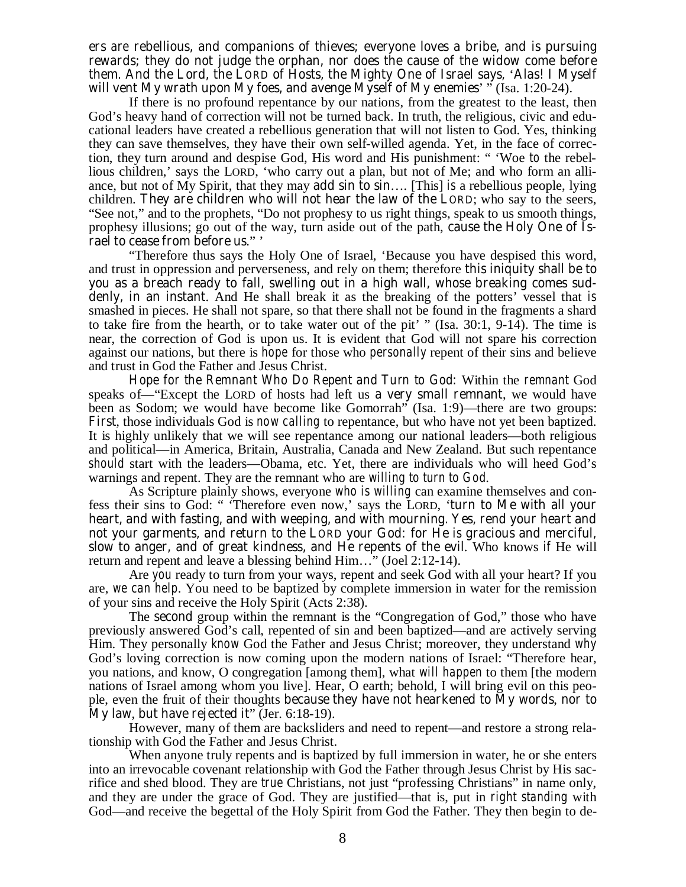**ers** *are* **rebellious, and companions of thieves; everyone loves a bribe, and is pursuing rewards; they do not judge the orphan, nor does the cause of the widow come before them. And the Lord, the LORD of Hosts, the Mighty One of Israel says,** '**Alas! I Myself**  will vent My wrath upon My foes, and avenge Myself of My enemies' " (Isa. 1:20-24).

If there is no profound repentance by our nations, from the greatest to the least, then God's heavy hand of correction will not be turned back. In truth, the religious, civic and educational leaders have created a rebellious generation that will not listen to God. Yes, thinking they can save themselves, they have their own self-willed agenda. Yet, in the face of correction, they turn around and despise God, His word and His punishment: " 'Woe *to* the rebellious children,' says the LORD, 'who carry out a plan, but not of Me; and who form an alliance, but not of My Spirit, that they may **add sin to sin**…. [This] *is* a rebellious people, lying children. **They are children who will not hear the law of the LORD**; who say to the seers, "See not," and to the prophets, "Do not prophesy to us right things, speak to us smooth things, prophesy illusions; go out of the way, turn aside out of the path, **cause the Holy One of Israel to cease from before us**." '

"Therefore thus says the Holy One of Israel, 'Because you have despised this word, and trust in oppression and perverseness, and rely on them; therefore **this iniquity shall be to you as a breach ready to fall, swelling out in a high wall, whose breaking comes suddenly, in an instant**. And He shall break it as the breaking of the potters' vessel that *is* smashed in pieces. He shall not spare, so that there shall not be found in the fragments a shard to take fire from the hearth, or to take water out of the pit' " (Isa. 30:1, 9-14). The time is near, the correction of God is upon us. It is evident that God will not spare his correction against our nations, but there is *hope* for those who *personally* repent of their sins and believe and trust in God the Father and Jesus Christ.

*Hope for the Remnant Who Do Repent and Turn to God***:** Within the *remnant* God speaks of—"Except the LORD of hosts had left us **a very small remnant**, we would have been as Sodom; we would have become like Gomorrah" (Isa. 1:9)—there are two groups: **First**, those individuals God is *now calling* to repentance, but who have not yet been baptized. It is highly unlikely that we will see repentance among our national leaders—both religious and political—in America, Britain, Australia, Canada and New Zealand. But such repentance *should* start with the leaders—Obama, etc. Yet, there are individuals who will heed God's warnings and repent. They are the remnant who are *willing to turn to God*.

As Scripture plainly shows, everyone *who is willing* can examine themselves and confess their sins to God: " 'Therefore even now,' says the LORD, '**turn to Me with all your heart, and with fasting, and with weeping, and with mourning. Yes, rend your heart and not your garments, and return to the LORD your God: for He** *is* **gracious and merciful, slow to anger, and of great kindness, and He repents of the evil**. Who knows *if* He will return and repent and leave a blessing behind Him…" (Joel 2:12-14).

Are *you* ready to turn from your ways, repent and seek God with all your heart? If you are, *we can help*. You need to be baptized by complete immersion in water for the remission of your sins and receive the Holy Spirit (Acts 2:38).

The **second** group within the remnant is the "Congregation of God," those who have previously answered God's call, repented of sin and been baptized—and are actively serving Him. They personally *know* God the Father and Jesus Christ; moreover, they understand *why* God's loving correction is now coming upon the modern nations of Israel: "Therefore hear, you nations, and know, O congregation [among them], what *will happen* to them [the modern nations of Israel among whom you live]. Hear, O earth; behold, I will bring evil on this people, even the fruit of their thoughts **because they have not hearkened to My words**, **nor to My law**, **but have rejected it**" (Jer. 6:18-19).

However, many of them are backsliders and need to repent—and restore a strong relationship with God the Father and Jesus Christ.

When anyone truly repents and is baptized by full immersion in water, he or she enters into an irrevocable covenant relationship with God the Father through Jesus Christ by His sacrifice and shed blood. They are *true* Christians, not just "professing Christians" in name only, and they are under the grace of God. They are justified—that is, put in *right standing* with God—and receive the begettal of the Holy Spirit from God the Father. They then begin to de